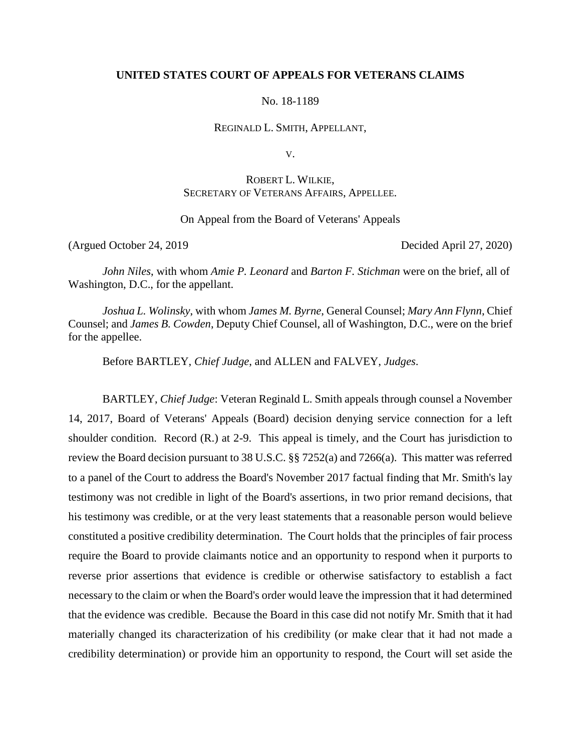## **UNITED STATES COURT OF APPEALS FOR VETERANS CLAIMS**

No. 18-1189

REGINALD L. SMITH, APPELLANT,

V.

# ROBERT L. WILKIE, SECRETARY OF VETERANS AFFAIRS, APPELLEE.

On Appeal from the Board of Veterans' Appeals

(Argued October 24, 2019 Decided April 27, 2020)

*John Niles*, with whom *Amie P. Leonard* and *Barton F. Stichman* were on the brief, all of Washington, D.C., for the appellant.

*Joshua L. Wolinsky*, with whom *James M. Byrne*, General Counsel; *Mary Ann Flynn*, Chief Counsel; and *James B. Cowden*, Deputy Chief Counsel, all of Washington, D.C., were on the brief for the appellee.

Before BARTLEY, *Chief Judge*, and ALLEN and FALVEY, *Judges*.

BARTLEY, *Chief Judge*: Veteran Reginald L. Smith appeals through counsel a November 14, 2017, Board of Veterans' Appeals (Board) decision denying service connection for a left shoulder condition. Record (R.) at 2-9. This appeal is timely, and the Court has jurisdiction to review the Board decision pursuant to 38 U.S.C. §§ 7252(a) and 7266(a). This matter was referred to a panel of the Court to address the Board's November 2017 factual finding that Mr. Smith's lay testimony was not credible in light of the Board's assertions, in two prior remand decisions, that his testimony was credible, or at the very least statements that a reasonable person would believe constituted a positive credibility determination. The Court holds that the principles of fair process require the Board to provide claimants notice and an opportunity to respond when it purports to reverse prior assertions that evidence is credible or otherwise satisfactory to establish a fact necessary to the claim or when the Board's order would leave the impression that it had determined that the evidence was credible. Because the Board in this case did not notify Mr. Smith that it had materially changed its characterization of his credibility (or make clear that it had not made a credibility determination) or provide him an opportunity to respond, the Court will set aside the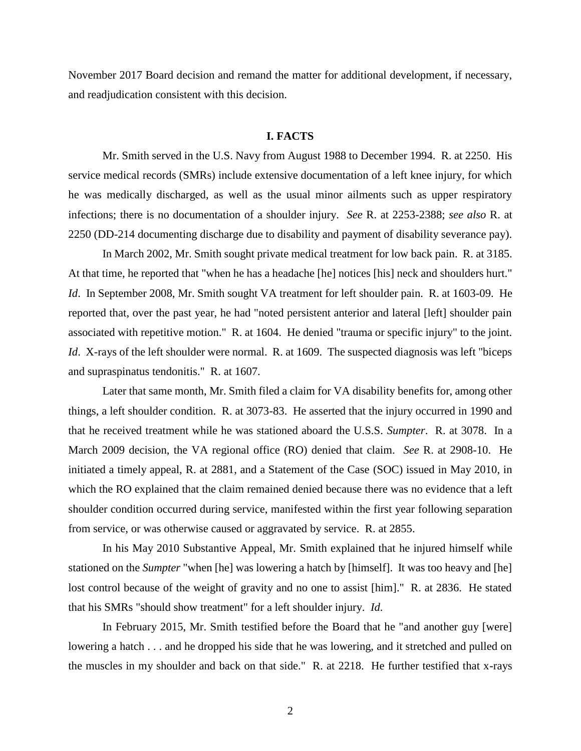November 2017 Board decision and remand the matter for additional development, if necessary, and readjudication consistent with this decision.

# **I. FACTS**

Mr. Smith served in the U.S. Navy from August 1988 to December 1994. R. at 2250. His service medical records (SMRs) include extensive documentation of a left knee injury, for which he was medically discharged, as well as the usual minor ailments such as upper respiratory infections; there is no documentation of a shoulder injury. *See* R. at 2253-2388; *see also* R. at 2250 (DD-214 documenting discharge due to disability and payment of disability severance pay).

In March 2002, Mr. Smith sought private medical treatment for low back pain. R. at 3185. At that time, he reported that "when he has a headache [he] notices [his] neck and shoulders hurt." *Id*. In September 2008, Mr. Smith sought VA treatment for left shoulder pain. R. at 1603-09. He reported that, over the past year, he had "noted persistent anterior and lateral [left] shoulder pain associated with repetitive motion." R. at 1604. He denied "trauma or specific injury" to the joint. *Id.* X-rays of the left shoulder were normal. R. at 1609. The suspected diagnosis was left "biceps" and supraspinatus tendonitis." R. at 1607.

Later that same month, Mr. Smith filed a claim for VA disability benefits for, among other things, a left shoulder condition. R. at 3073-83. He asserted that the injury occurred in 1990 and that he received treatment while he was stationed aboard the U.S.S. *Sumpter*. R. at 3078. In a March 2009 decision, the VA regional office (RO) denied that claim. *See* R. at 2908-10. He initiated a timely appeal, R. at 2881, and a Statement of the Case (SOC) issued in May 2010, in which the RO explained that the claim remained denied because there was no evidence that a left shoulder condition occurred during service, manifested within the first year following separation from service, or was otherwise caused or aggravated by service. R. at 2855.

In his May 2010 Substantive Appeal, Mr. Smith explained that he injured himself while stationed on the *Sumpter* "when [he] was lowering a hatch by [himself]. It was too heavy and [he] lost control because of the weight of gravity and no one to assist [him]." R. at 2836. He stated that his SMRs "should show treatment" for a left shoulder injury. *Id*.

In February 2015, Mr. Smith testified before the Board that he "and another guy [were] lowering a hatch . . . and he dropped his side that he was lowering, and it stretched and pulled on the muscles in my shoulder and back on that side." R. at 2218. He further testified that x-rays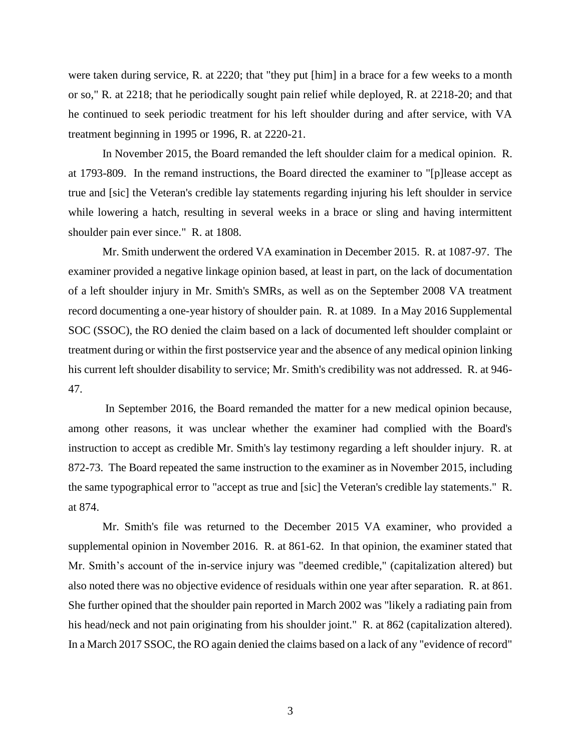were taken during service, R. at 2220; that "they put [him] in a brace for a few weeks to a month or so," R. at 2218; that he periodically sought pain relief while deployed, R. at 2218-20; and that he continued to seek periodic treatment for his left shoulder during and after service, with VA treatment beginning in 1995 or 1996, R. at 2220-21.

In November 2015, the Board remanded the left shoulder claim for a medical opinion. R. at 1793-809. In the remand instructions, the Board directed the examiner to "[p]lease accept as true and [sic] the Veteran's credible lay statements regarding injuring his left shoulder in service while lowering a hatch, resulting in several weeks in a brace or sling and having intermittent shoulder pain ever since." R. at 1808.

Mr. Smith underwent the ordered VA examination in December 2015. R. at 1087-97. The examiner provided a negative linkage opinion based, at least in part, on the lack of documentation of a left shoulder injury in Mr. Smith's SMRs, as well as on the September 2008 VA treatment record documenting a one-year history of shoulder pain. R. at 1089. In a May 2016 Supplemental SOC (SSOC), the RO denied the claim based on a lack of documented left shoulder complaint or treatment during or within the first postservice year and the absence of any medical opinion linking his current left shoulder disability to service; Mr. Smith's credibility was not addressed. R. at 946- 47.

In September 2016, the Board remanded the matter for a new medical opinion because, among other reasons, it was unclear whether the examiner had complied with the Board's instruction to accept as credible Mr. Smith's lay testimony regarding a left shoulder injury. R. at 872-73. The Board repeated the same instruction to the examiner as in November 2015, including the same typographical error to "accept as true and [sic] the Veteran's credible lay statements." R. at 874.

Mr. Smith's file was returned to the December 2015 VA examiner, who provided a supplemental opinion in November 2016. R. at 861-62. In that opinion, the examiner stated that Mr. Smith's account of the in-service injury was "deemed credible," (capitalization altered) but also noted there was no objective evidence of residuals within one year after separation. R. at 861. She further opined that the shoulder pain reported in March 2002 was "likely a radiating pain from his head/neck and not pain originating from his shoulder joint." R. at 862 (capitalization altered). In a March 2017 SSOC, the RO again denied the claims based on a lack of any "evidence of record"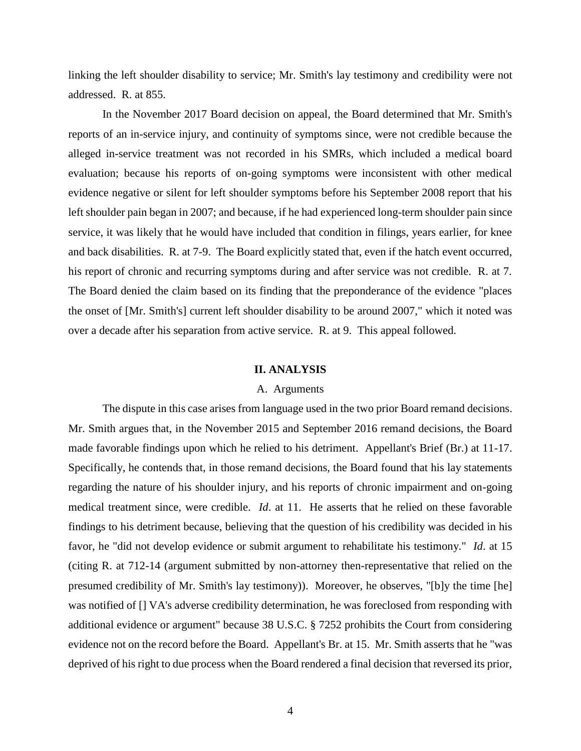linking the left shoulder disability to service; Mr. Smith's lay testimony and credibility were not addressed. R. at 855.

In the November 2017 Board decision on appeal, the Board determined that Mr. Smith's reports of an in-service injury, and continuity of symptoms since, were not credible because the alleged in-service treatment was not recorded in his SMRs, which included a medical board evaluation; because his reports of on-going symptoms were inconsistent with other medical evidence negative or silent for left shoulder symptoms before his September 2008 report that his left shoulder pain began in 2007; and because, if he had experienced long-term shoulder pain since service, it was likely that he would have included that condition in filings, years earlier, for knee and back disabilities. R. at 7-9. The Board explicitly stated that, even if the hatch event occurred, his report of chronic and recurring symptoms during and after service was not credible. R. at 7. The Board denied the claim based on its finding that the preponderance of the evidence "places the onset of [Mr. Smith's] current left shoulder disability to be around 2007," which it noted was over a decade after his separation from active service. R. at 9. This appeal followed.

#### **II. ANALYSIS**

#### A. Arguments

The dispute in this case arises from language used in the two prior Board remand decisions. Mr. Smith argues that, in the November 2015 and September 2016 remand decisions, the Board made favorable findings upon which he relied to his detriment. Appellant's Brief (Br.) at 11-17. Specifically, he contends that, in those remand decisions, the Board found that his lay statements regarding the nature of his shoulder injury, and his reports of chronic impairment and on-going medical treatment since, were credible. *Id*. at 11. He asserts that he relied on these favorable findings to his detriment because, believing that the question of his credibility was decided in his favor, he "did not develop evidence or submit argument to rehabilitate his testimony." *Id*. at 15 (citing R. at 712-14 (argument submitted by non-attorney then-representative that relied on the presumed credibility of Mr. Smith's lay testimony)). Moreover, he observes, "[b]y the time [he] was notified of [] VA's adverse credibility determination, he was foreclosed from responding with additional evidence or argument" because 38 U.S.C. § 7252 prohibits the Court from considering evidence not on the record before the Board. Appellant's Br. at 15. Mr. Smith asserts that he "was deprived of his right to due process when the Board rendered a final decision that reversed its prior,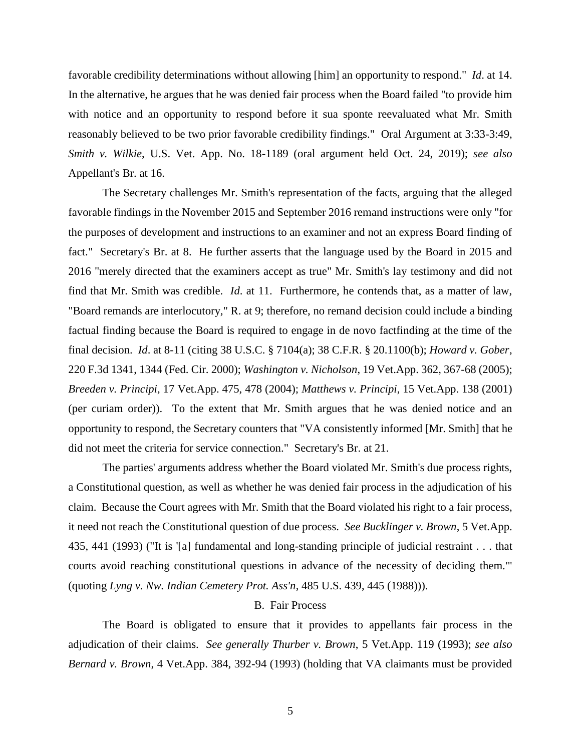favorable credibility determinations without allowing [him] an opportunity to respond." *Id*. at 14. In the alternative, he argues that he was denied fair process when the Board failed "to provide him with notice and an opportunity to respond before it sua sponte reevaluated what Mr. Smith reasonably believed to be two prior favorable credibility findings." Oral Argument at 3:33-3:49, *Smith v. Wilkie*, U.S. Vet. App. No. 18-1189 (oral argument held Oct. 24, 2019); *see also*  Appellant's Br. at 16.

The Secretary challenges Mr. Smith's representation of the facts, arguing that the alleged favorable findings in the November 2015 and September 2016 remand instructions were only "for the purposes of development and instructions to an examiner and not an express Board finding of fact." Secretary's Br. at 8. He further asserts that the language used by the Board in 2015 and 2016 "merely directed that the examiners accept as true" Mr. Smith's lay testimony and did not find that Mr. Smith was credible. *Id*. at 11. Furthermore, he contends that, as a matter of law, "Board remands are interlocutory," R. at 9; therefore, no remand decision could include a binding factual finding because the Board is required to engage in de novo factfinding at the time of the final decision. *Id*. at 8-11 (citing 38 U.S.C. § 7104(a); 38 C.F.R. § 20.1100(b); *Howard v. Gober*, 220 F.3d 1341, 1344 (Fed. Cir. 2000); *Washington v. Nicholson*, 19 Vet.App. 362, 367-68 (2005); *Breeden v. Principi*, 17 Vet.App. 475, 478 (2004); *Matthews v. Principi*, 15 Vet.App. 138 (2001) (per curiam order)). To the extent that Mr. Smith argues that he was denied notice and an opportunity to respond, the Secretary counters that "VA consistently informed [Mr. Smith] that he did not meet the criteria for service connection." Secretary's Br. at 21.

The parties' arguments address whether the Board violated Mr. Smith's due process rights, a Constitutional question, as well as whether he was denied fair process in the adjudication of his claim. Because the Court agrees with Mr. Smith that the Board violated his right to a fair process, it need not reach the Constitutional question of due process. *See Bucklinger v. Brown*, 5 Vet.App. 435, 441 (1993) ("It is '[a] fundamental and long-standing principle of judicial restraint . . . that courts avoid reaching constitutional questions in advance of the necessity of deciding them.'" (quoting *Lyng v. Nw. Indian Cemetery Prot. Ass'n*, 485 U.S. 439, 445 (1988))).

# B. Fair Process

The Board is obligated to ensure that it provides to appellants fair process in the adjudication of their claims. *See generally Thurber v. Brown*, 5 Vet.App. 119 (1993); *see also Bernard v. Brown*, 4 Vet.App. 384, 392-94 (1993) (holding that VA claimants must be provided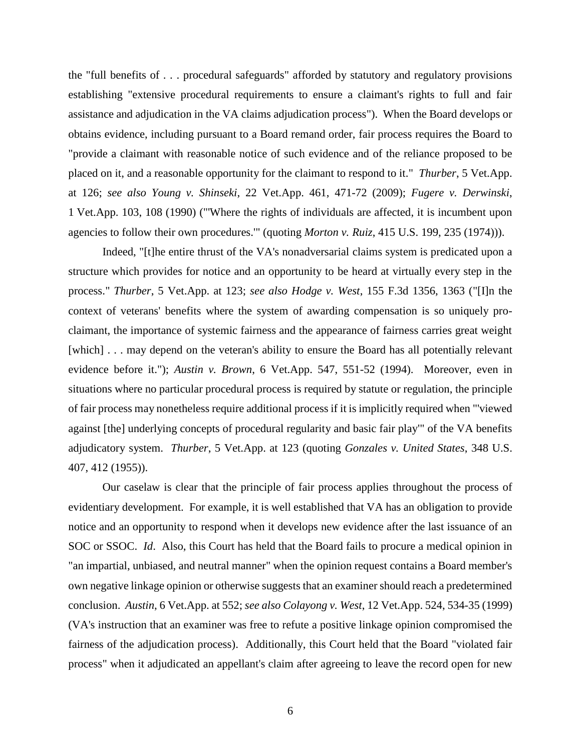the "full benefits of . . . procedural safeguards" afforded by statutory and regulatory provisions establishing "extensive procedural requirements to ensure a claimant's rights to full and fair assistance and adjudication in the VA claims adjudication process"). When the Board develops or obtains evidence, including pursuant to a Board remand order, fair process requires the Board to "provide a claimant with reasonable notice of such evidence and of the reliance proposed to be placed on it, and a reasonable opportunity for the claimant to respond to it." *Thurber*, 5 Vet.App. at 126; *see also Young v. Shinseki*, 22 Vet.App. 461, 471-72 (2009); *Fugere v. Derwinski*, 1 Vet.App. 103, 108 (1990) ("'Where the rights of individuals are affected, it is incumbent upon agencies to follow their own procedures.'" (quoting *Morton v. Ruiz*, 415 U.S. 199, 235 (1974))).

Indeed, "[t]he entire thrust of the VA's nonadversarial claims system is predicated upon a structure which provides for notice and an opportunity to be heard at virtually every step in the process." *Thurber*, 5 Vet.App. at 123; *see also Hodge v. West*, 155 F.3d 1356, 1363 ("[I]n the context of veterans' benefits where the system of awarding compensation is so uniquely proclaimant, the importance of systemic fairness and the appearance of fairness carries great weight [which] . . . may depend on the veteran's ability to ensure the Board has all potentially relevant evidence before it."); *Austin v. Brown*, 6 Vet.App. 547, 551-52 (1994). Moreover, even in situations where no particular procedural process is required by statute or regulation, the principle of fair process may nonetheless require additional process if it is implicitly required when "'viewed against [the] underlying concepts of procedural regularity and basic fair play'" of the VA benefits adjudicatory system. *Thurber*, 5 Vet.App. at 123 (quoting *Gonzales v. United States*, 348 U.S. 407, 412 (1955)).

Our caselaw is clear that the principle of fair process applies throughout the process of evidentiary development. For example, it is well established that VA has an obligation to provide notice and an opportunity to respond when it develops new evidence after the last issuance of an SOC or SSOC. *Id*. Also, this Court has held that the Board fails to procure a medical opinion in "an impartial, unbiased, and neutral manner" when the opinion request contains a Board member's own negative linkage opinion or otherwise suggests that an examiner should reach a predetermined conclusion. *Austin*, 6 Vet.App. at 552; *see also Colayong v. West*, 12 Vet.App. 524, 534-35 (1999) (VA's instruction that an examiner was free to refute a positive linkage opinion compromised the fairness of the adjudication process). Additionally, this Court held that the Board "violated fair process" when it adjudicated an appellant's claim after agreeing to leave the record open for new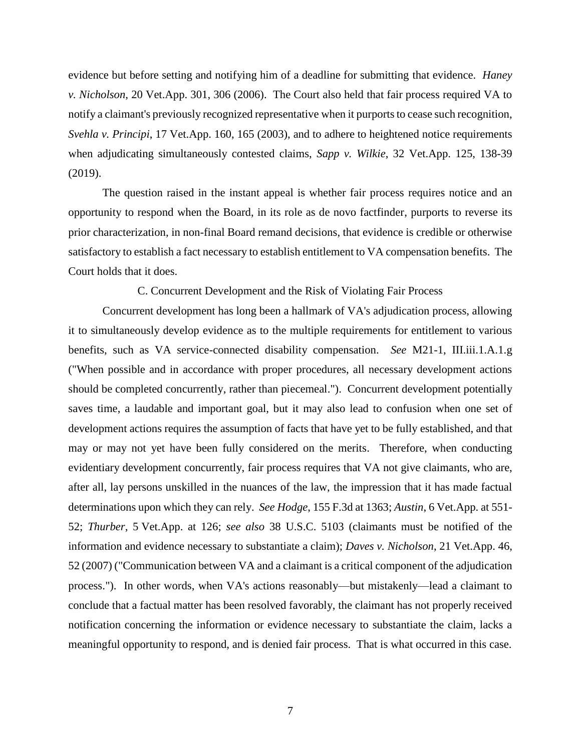evidence but before setting and notifying him of a deadline for submitting that evidence. *Haney v. Nicholson*, 20 Vet.App. 301, 306 (2006). The Court also held that fair process required VA to notify a claimant's previously recognized representative when it purports to cease such recognition, *Svehla v. Principi*, 17 Vet.App. 160, 165 (2003), and to adhere to heightened notice requirements when adjudicating simultaneously contested claims, *Sapp v. Wilkie*, 32 Vet.App. 125, 138-39 (2019).

The question raised in the instant appeal is whether fair process requires notice and an opportunity to respond when the Board, in its role as de novo factfinder, purports to reverse its prior characterization, in non-final Board remand decisions, that evidence is credible or otherwise satisfactory to establish a fact necessary to establish entitlement to VA compensation benefits. The Court holds that it does.

C. Concurrent Development and the Risk of Violating Fair Process

Concurrent development has long been a hallmark of VA's adjudication process, allowing it to simultaneously develop evidence as to the multiple requirements for entitlement to various benefits, such as VA service-connected disability compensation. *See* M21-1, III.iii.1.A.1.g ("When possible and in accordance with proper procedures, all necessary development actions should be completed concurrently, rather than piecemeal."). Concurrent development potentially saves time, a laudable and important goal, but it may also lead to confusion when one set of development actions requires the assumption of facts that have yet to be fully established, and that may or may not yet have been fully considered on the merits. Therefore, when conducting evidentiary development concurrently, fair process requires that VA not give claimants, who are, after all, lay persons unskilled in the nuances of the law, the impression that it has made factual determinations upon which they can rely. *See Hodge*, 155 F.3d at 1363; *Austin*, 6 Vet.App. at 551- 52; *Thurber*, 5 Vet.App. at 126; *see also* 38 U.S.C. 5103 (claimants must be notified of the information and evidence necessary to substantiate a claim); *Daves v. Nicholson*, 21 Vet.App. 46, 52 (2007) ("Communication between VA and a claimant is a critical component of the adjudication process."). In other words, when VA's actions reasonably—but mistakenly—lead a claimant to conclude that a factual matter has been resolved favorably, the claimant has not properly received notification concerning the information or evidence necessary to substantiate the claim, lacks a meaningful opportunity to respond, and is denied fair process. That is what occurred in this case.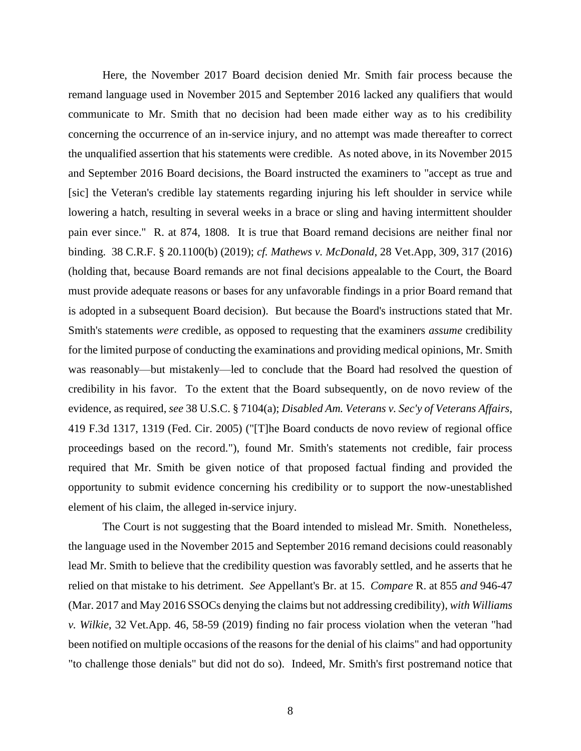Here, the November 2017 Board decision denied Mr. Smith fair process because the remand language used in November 2015 and September 2016 lacked any qualifiers that would communicate to Mr. Smith that no decision had been made either way as to his credibility concerning the occurrence of an in-service injury, and no attempt was made thereafter to correct the unqualified assertion that his statements were credible. As noted above, in its November 2015 and September 2016 Board decisions, the Board instructed the examiners to "accept as true and [sic] the Veteran's credible lay statements regarding injuring his left shoulder in service while lowering a hatch, resulting in several weeks in a brace or sling and having intermittent shoulder pain ever since." R. at 874, 1808. It is true that Board remand decisions are neither final nor binding. 38 C.R.F. § 20.1100(b) (2019); *cf. Mathews v. McDonald*, 28 Vet.App, 309, 317 (2016) (holding that, because Board remands are not final decisions appealable to the Court, the Board must provide adequate reasons or bases for any unfavorable findings in a prior Board remand that is adopted in a subsequent Board decision). But because the Board's instructions stated that Mr. Smith's statements *were* credible, as opposed to requesting that the examiners *assume* credibility for the limited purpose of conducting the examinations and providing medical opinions, Mr. Smith was reasonably—but mistakenly—led to conclude that the Board had resolved the question of credibility in his favor. To the extent that the Board subsequently, on de novo review of the evidence, as required, *see* 38 U.S.C. § 7104(a); *Disabled Am. Veterans v. Sec'y of Veterans Affairs*, 419 F.3d 1317, 1319 (Fed. Cir. 2005) ("[T]he Board conducts de novo review of regional office proceedings based on the record."), found Mr. Smith's statements not credible, fair process required that Mr. Smith be given notice of that proposed factual finding and provided the opportunity to submit evidence concerning his credibility or to support the now-unestablished element of his claim, the alleged in-service injury.

The Court is not suggesting that the Board intended to mislead Mr. Smith. Nonetheless, the language used in the November 2015 and September 2016 remand decisions could reasonably lead Mr. Smith to believe that the credibility question was favorably settled, and he asserts that he relied on that mistake to his detriment. *See* Appellant's Br. at 15. *Compare* R. at 855 *and* 946-47 (Mar. 2017 and May 2016 SSOCs denying the claims but not addressing credibility), *with Williams v. Wilkie*, 32 Vet.App. 46, 58-59 (2019) finding no fair process violation when the veteran "had been notified on multiple occasions of the reasons for the denial of his claims" and had opportunity "to challenge those denials" but did not do so). Indeed, Mr. Smith's first postremand notice that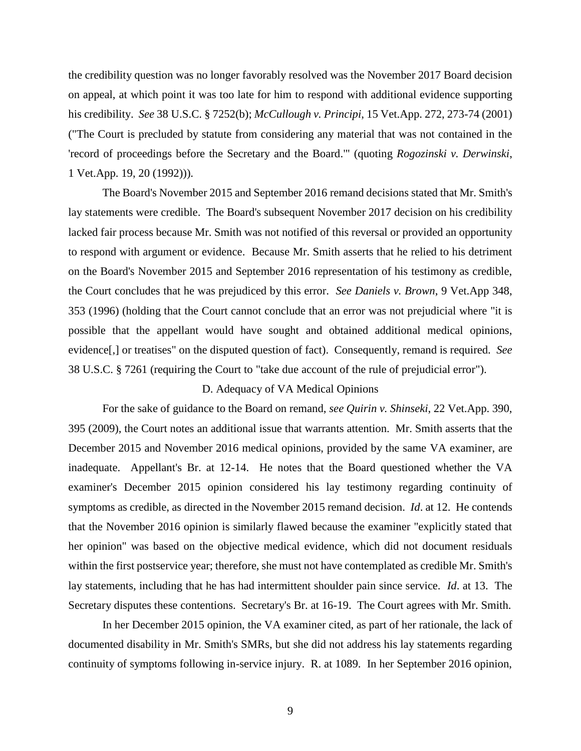the credibility question was no longer favorably resolved was the November 2017 Board decision on appeal, at which point it was too late for him to respond with additional evidence supporting his credibility. *See* 38 U.S.C. § 7252(b); *McCullough v. Principi*, 15 Vet.App. 272, 273-74 (2001) ("The Court is precluded by statute from considering any material that was not contained in the 'record of proceedings before the Secretary and the Board.'" (quoting *Rogozinski v. Derwinski*, 1 Vet.App. 19, 20 (1992))).

The Board's November 2015 and September 2016 remand decisions stated that Mr. Smith's lay statements were credible. The Board's subsequent November 2017 decision on his credibility lacked fair process because Mr. Smith was not notified of this reversal or provided an opportunity to respond with argument or evidence. Because Mr. Smith asserts that he relied to his detriment on the Board's November 2015 and September 2016 representation of his testimony as credible, the Court concludes that he was prejudiced by this error. *See Daniels v. Brown*, 9 Vet.App 348, 353 (1996) (holding that the Court cannot conclude that an error was not prejudicial where "it is possible that the appellant would have sought and obtained additional medical opinions, evidence[,] or treatises" on the disputed question of fact). Consequently, remand is required. *See* 38 U.S.C. § 7261 (requiring the Court to "take due account of the rule of prejudicial error").

## D. Adequacy of VA Medical Opinions

For the sake of guidance to the Board on remand, *see Quirin v. Shinseki*, 22 Vet.App. 390, 395 (2009), the Court notes an additional issue that warrants attention. Mr. Smith asserts that the December 2015 and November 2016 medical opinions, provided by the same VA examiner, are inadequate. Appellant's Br. at 12-14. He notes that the Board questioned whether the VA examiner's December 2015 opinion considered his lay testimony regarding continuity of symptoms as credible, as directed in the November 2015 remand decision. *Id*. at 12. He contends that the November 2016 opinion is similarly flawed because the examiner "explicitly stated that her opinion" was based on the objective medical evidence, which did not document residuals within the first postservice year; therefore, she must not have contemplated as credible Mr. Smith's lay statements, including that he has had intermittent shoulder pain since service. *Id*. at 13. The Secretary disputes these contentions. Secretary's Br. at 16-19. The Court agrees with Mr. Smith.

In her December 2015 opinion, the VA examiner cited, as part of her rationale, the lack of documented disability in Mr. Smith's SMRs, but she did not address his lay statements regarding continuity of symptoms following in-service injury. R. at 1089. In her September 2016 opinion,